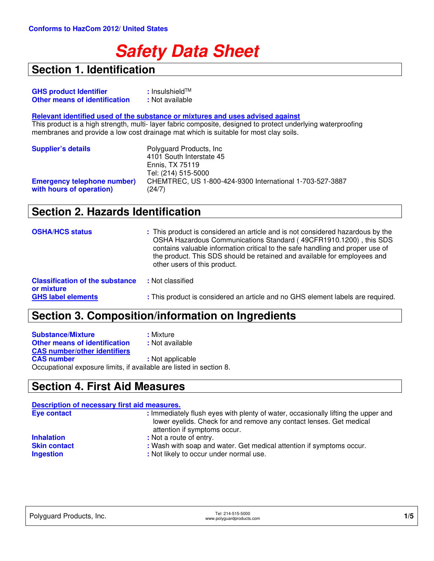# **Safety Data Sheet**

## **Section 1. Identification**

| <b>GHS product Identifier</b>        | : Insulshield <sup>TM</sup> |
|--------------------------------------|-----------------------------|
| <b>Other means of identification</b> | : Not available             |

#### **Relevant identified used of the substance or mixtures and uses advised against**

This product is a high strength, multi- layer fabric composite, designed to protect underlying waterproofing membranes and provide a low cost drainage mat which is suitable for most clay soils.

| <b>Supplier's details</b>                                      | Polyguard Products, Inc.<br>4101 South Interstate 45<br>Ennis, TX 75119                   |
|----------------------------------------------------------------|-------------------------------------------------------------------------------------------|
| <b>Emergency telephone number)</b><br>with hours of operation) | Tel: (214) 515-5000<br>CHEMTREC, US 1-800-424-9300 International 1-703-527-3887<br>(24/7) |

#### **Section 2. Hazards Identification**

| <b>OSHA/HCS status</b>                               | : This product is considered an article and is not considered hazardous by the<br>OSHA Hazardous Communications Standard (49CFR1910.1200), this SDS<br>contains valuable information critical to the safe handling and proper use of<br>the product. This SDS should be retained and available for employees and<br>other users of this product. |
|------------------------------------------------------|--------------------------------------------------------------------------------------------------------------------------------------------------------------------------------------------------------------------------------------------------------------------------------------------------------------------------------------------------|
| <b>Classification of the substance</b><br>or mixture | : Not classified                                                                                                                                                                                                                                                                                                                                 |
| <b>GHS label elements</b>                            | : This product is considered an article and no GHS element labels are required.                                                                                                                                                                                                                                                                  |

## **Section 3. Composition/information on Ingredients**

| <b>Substance/Mixture</b>                                            | : Mixture        |
|---------------------------------------------------------------------|------------------|
| <b>Other means of identification</b>                                | : Not available  |
| <b>CAS number/other identifiers</b>                                 |                  |
| <b>CAS number</b>                                                   | : Not applicable |
| Occupational exposure limits, if available are listed in section 8. |                  |

#### **Section 4. First Aid Measures**

| Description of necessary first aid measures. |                                                                                                                                                                                          |
|----------------------------------------------|------------------------------------------------------------------------------------------------------------------------------------------------------------------------------------------|
| <b>Eye contact</b>                           | : Immediately flush eyes with plenty of water, occasionally lifting the upper and<br>lower eyelids. Check for and remove any contact lenses. Get medical<br>attention if symptoms occur. |
| <b>Inhalation</b>                            | : Not a route of entry.                                                                                                                                                                  |
| <b>Skin contact</b><br><b>Ingestion</b>      | : Wash with soap and water. Get medical attention if symptoms occur.<br>: Not likely to occur under normal use.                                                                          |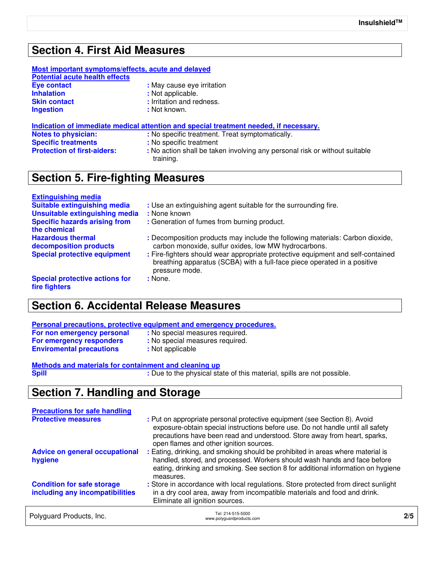#### **Section 4. First Aid Measures**

#### **Most important symptoms/effects, acute and delayed**

**Potential acute health effects Eye contact**<br> **Inhalation**<br> **Inhalation**<br> **Exercise 2**<br> **Exercise 2**<br> **Exercise 2**<br> **Exercise 2**<br> **Exercise 2**<br> **Exercise 2**<br> **Exercise 2**<br> **Exercise 2 Inhalation :** Not applicable.<br> **Skin contact :** Irritation and re **Skin contact interval in the set of the set of the set of the set of the set of the set of the set of the set of the set of the set of the set of the set of the set of the set of the set of the set of the set of the set** 

- -
	-
	- **:** Not known.

#### **Indication of immediate medical attention and special treatment needed, if necessary.**

- **Notes to physician: :** No specific treatment. Treat symptomatically.
- **Specific treatments** *i* **No specific treatment <b>Protection of first-aiders:** *i* No action shall be take
	- : No action shall be taken involving any personal risk or without suitable training.

#### **Section 5. Fire-fighting Measures**

# **Extinguishing media**

| Suitable extinguishing media                           | : Use an extinguishing agent suitable for the surrounding fire.                                                                                                               |
|--------------------------------------------------------|-------------------------------------------------------------------------------------------------------------------------------------------------------------------------------|
| Unsuitable extinguishing media                         | : None known                                                                                                                                                                  |
| <b>Specific hazards arising from</b><br>the chemical   | : Generation of fumes from burning product.                                                                                                                                   |
| <b>Hazardous thermal</b><br>decomposition products     | : Decomposition products may include the following materials: Carbon dioxide,<br>carbon monoxide, sulfur oxides, low MW hydrocarbons.                                         |
| <b>Special protective equipment</b>                    | : Fire-fighters should wear appropriate protective equipment and self-contained<br>breathing apparatus (SCBA) with a full-face piece operated in a positive<br>pressure mode. |
| <b>Special protective actions for</b><br>fire fighters | : None.                                                                                                                                                                       |

## **Section 6. Accidental Release Measures**

#### **Personal precautions, protective equipment and emergency procedures.**

| For non emergency personal      | : No special measures required. |
|---------------------------------|---------------------------------|
| For emergency responders        | : No special measures required. |
| <b>Enviromental precautions</b> | : Not applicable                |

# **Methods and materials for containment and cleaning up**

**Spill :** Due to the physical state of this material, spills are not possible.

## **Section 7. Handling and Storage**

| <b>Precautions for safe handling</b><br><b>Protective measures</b>   | : Put on appropriate personal protective equipment (see Section 8). Avoid<br>exposure-obtain special instructions before use. Do not handle until all safety                                                                                                                                                                                                              |     |
|----------------------------------------------------------------------|---------------------------------------------------------------------------------------------------------------------------------------------------------------------------------------------------------------------------------------------------------------------------------------------------------------------------------------------------------------------------|-----|
| <b>Advice on general occupational</b><br>hygiene                     | precautions have been read and understood. Store away from heart, sparks,<br>open flames and other ignition sources.<br>: Eating, drinking, and smoking should be prohibited in areas where material is<br>handled, stored, and processed. Workers should wash hands and face before<br>eating, drinking and smoking. See section 8 for additional information on hygiene |     |
| <b>Condition for safe storage</b><br>including any incompatibilities | measures.<br>: Store in accordance with local regulations. Store protected from direct sunlight<br>in a dry cool area, away from incompatible materials and food and drink.<br>Eliminate all ignition sources.                                                                                                                                                            |     |
| Polyguard Products, Inc.                                             | Tel: 214-515-5000<br>www.polyguardproducts.com                                                                                                                                                                                                                                                                                                                            | 2/5 |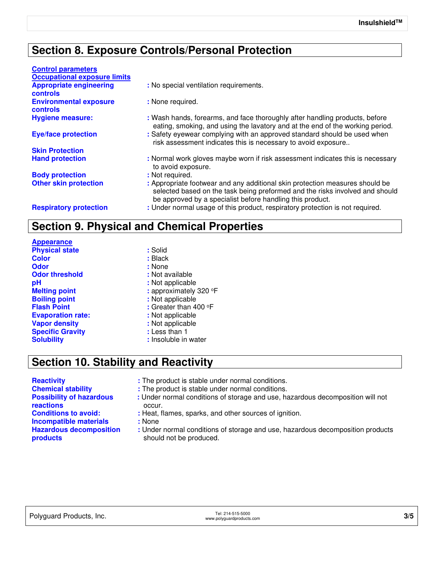## **Section 8. Exposure Controls/Personal Protection**

| <b>Control parameters</b>                        |                                                                                                                                                                                                                           |
|--------------------------------------------------|---------------------------------------------------------------------------------------------------------------------------------------------------------------------------------------------------------------------------|
| <b>Occupational exposure limits</b>              |                                                                                                                                                                                                                           |
| <b>Appropriate engineering</b><br>controls       | : No special ventilation requirements.                                                                                                                                                                                    |
| <b>Environmental exposure</b><br><b>controls</b> | : None required.                                                                                                                                                                                                          |
| <b>Hygiene measure:</b>                          | : Wash hands, forearms, and face thoroughly after handling products, before<br>eating, smoking, and using the lavatory and at the end of the working period.                                                              |
| <b>Eye/face protection</b>                       | : Safety eyewear complying with an approved standard should be used when<br>risk assessment indicates this is necessary to avoid exposure                                                                                 |
| <b>Skin Protection</b>                           |                                                                                                                                                                                                                           |
| <b>Hand protection</b>                           | : Normal work gloves maybe worn if risk assessment indicates this is necessary<br>to avoid exposure.                                                                                                                      |
| <b>Body protection</b>                           | : Not required.                                                                                                                                                                                                           |
| <b>Other skin protection</b>                     | : Appropriate footwear and any additional skin protection measures should be<br>selected based on the task being preformed and the risks involved and should<br>be approved by a specialist before handling this product. |
| <b>Respiratory protection</b>                    | : Under normal usage of this product, respiratory protection is not required.                                                                                                                                             |

#### **Section 9. Physical and Chemical Properties**

**Appearance Physical state :** Solid **Color :** Black **Odor :** None **Odor threshold :** Not available **pH :** Not applicable **Boiling point :** Not applicable **Evaporation rate: :** Not applicable **Vapor density**<br> **Specific Gravity**<br> **Specific Gravity**<br> **Specific Gravity Specific Gravity**<br>**Solubility** 

**Melting point :** approximately 320 °F **Flash Point :** Greater than 400 °F **:** Insoluble in water

## **Section 10. Stability and Reactivity**

**Possibility of hazardous reactions Incompatible materials :** None **Hazardous decomposition products**

**Reactivity :** The product is stable under normal conditions.

- **Chemical stability :** The product is stable under normal conditions.
	- **:** Under normal conditions of storage and use, hazardous decomposition will not occur.
- **Conditions to avoid: :** Heat, flames, sparks, and other sources of ignition.
	- - **:** Under normal conditions of storage and use, hazardous decomposition products should not be produced.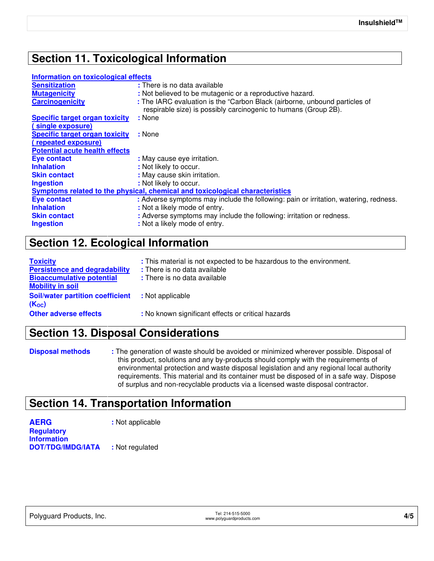## **Section 11. Toxicological Information**

#### **Information on toxicological effects**

| : There is no data available                                                                                                                  |  |  |
|-----------------------------------------------------------------------------------------------------------------------------------------------|--|--|
| : Not believed to be mutagenic or a reproductive hazard.                                                                                      |  |  |
| : The IARC evaluation is the "Carbon Black (airborne, unbound particles of<br>respirable size) is possibly carcinogenic to humans (Group 2B). |  |  |
| : None                                                                                                                                        |  |  |
|                                                                                                                                               |  |  |
| : None                                                                                                                                        |  |  |
|                                                                                                                                               |  |  |
|                                                                                                                                               |  |  |
| : May cause eye irritation.                                                                                                                   |  |  |
| : Not likely to occur.                                                                                                                        |  |  |
| : May cause skin irritation.                                                                                                                  |  |  |
| : Not likely to occur.                                                                                                                        |  |  |
| Symptoms related to the physical, chemical and toxicological characteristics                                                                  |  |  |
| : Adverse symptoms may include the following: pain or irritation, watering, redness.                                                          |  |  |
| : Not a likely mode of entry.                                                                                                                 |  |  |
| : Adverse symptoms may include the following: irritation or redness.                                                                          |  |  |
| : Not a likely mode of entry.                                                                                                                 |  |  |
|                                                                                                                                               |  |  |

#### **Section 12. Ecological Information**

| <b>Toxicity</b><br><b>Persistence and degradability</b><br><b>Bioaccumulative potential</b><br><b>Mobility in soil</b> | : This material is not expected to be hazardous to the environment.<br>: There is no data available<br>: There is no data available |
|------------------------------------------------------------------------------------------------------------------------|-------------------------------------------------------------------------------------------------------------------------------------|
| <b>Soil/water partition coefficient</b><br>$(K_{oc})$                                                                  | : Not applicable                                                                                                                    |
| <b>Other adverse effects</b>                                                                                           | : No known significant effects or critical hazards                                                                                  |

## **Section 13. Disposal Considerations**

**Disposal methods :** The generation of waste should be avoided or minimized wherever possible. Disposal of this product, solutions and any by-products should comply with the requirements of environmental protection and waste disposal legislation and any regional local authority requirements. This material and its container must be disposed of in a safe way. Dispose of surplus and non-recyclable products via a licensed waste disposal contractor.

#### **Section 14. Transportation Information**

| <b>AERG</b>              | : Not applicable |
|--------------------------|------------------|
| <b>Regulatory</b>        |                  |
| <b>Information</b>       |                  |
| <b>DOT/TDG/IMDG/IATA</b> | : Not regulated  |

|                          | Tel: 214-515-5000     |
|--------------------------|-----------------------|
| Polyguard Products, Inc. | www.polyguardproducts |